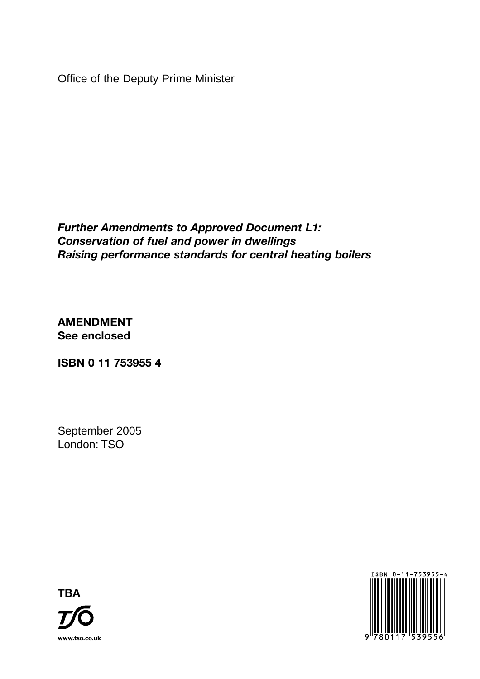Office of the Deputy Prime Minister

*Further Amendments to Approved Document L1: Conservation of fuel and power in dwellings Raising performance standards for central heating boilers*

**AMENDMENT See enclosed**

**ISBN 0 11 753955 4**

September 2005 London: TSO



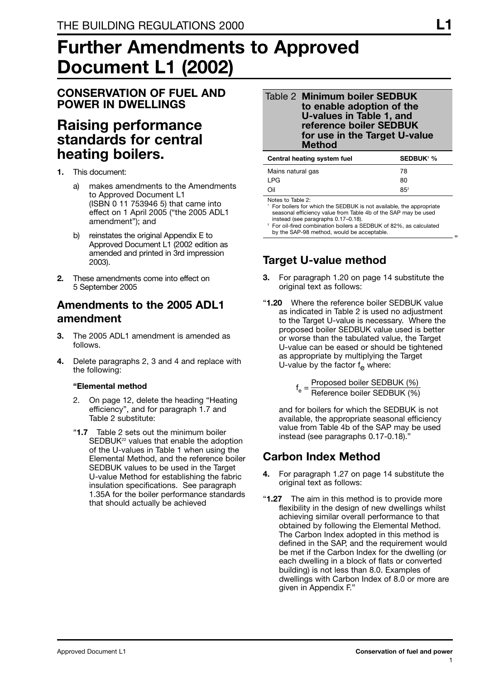# **Further Amendments to Approved Document L1 (2002)**

### **CONSERVATION OF FUEL AND POWER IN DWELLINGS**

# **Raising performance standards for central heating boilers.**

- **1.** This document:
	- a) makes amendments to the Amendments to Approved Document L1 (ISBN 0 11 753946 5) that came into effect on 1 April 2005 ("the 2005 ADL1 amendment"); and
	- b) reinstates the original Appendix E to Approved Document L1 (2002 edition as amended and printed in 3rd impression 2003).
- **2.** These amendments come into effect on 5 September 2005

## **Amendments to the 2005 ADL1 amendment**

- **3.** The 2005 ADL1 amendment is amended as follows.
- **4.** Delete paragraphs 2, 3 and 4 and replace with the following:

#### **"Elemental method**

- 2. On page 12, delete the heading "Heating efficiency", and for paragraph 1.7 and Table 2 substitute:
- "**1.7** Table 2 sets out the minimum boiler SEDBUK<sup>22</sup> values that enable the adoption of the U-values in Table 1 when using the Elemental Method, and the reference boiler SEDBUK values to be used in the Target U-value Method for establishing the fabric insulation specifications. See paragraph 1.35A for the boiler performance standards that should actually be achieved

#### Table 2 **Minimum boiler SEDBUK to enable adoption of the U-values in Table 1, and reference boiler SEDBUK for use in the Target U-value Method**

| Central heating system fuel | <b>SEDBUK<sup>1</sup> %</b> |
|-----------------------------|-----------------------------|
| Mains natural gas           | 78                          |
| I PG                        | 80                          |
| Oil                         | $85^2$                      |
|                             |                             |

Notes to Table 2:

For boilers for which the SEDBUK is not available, the appropriate seasonal efficiency value from Table 4b of the SAP may be used instead (see paragraphs 0.17–0.18).

<sup>2</sup> For oil-fired combination boilers a SEDBUK of 82%, as calculated by the SAP-98 method, would be acceptable.

# **Target U-value method**

- **3.** For paragraph 1.20 on page 14 substitute the original text as follows:
- "**1.20** Where the reference boiler SEDBUK value as indicated in Table 2 is used no adjustment to the Target U-value is necessary. Where the proposed boiler SEDBUK value used is better or worse than the tabulated value, the Target U-value can be eased or should be tightened as appropriate by multiplying the Target U-value by the factor  $f_{\alpha}$  where:

f<sub>e</sub> = <mark>Proposed boiler SEDBUK (%)</mark><br>Reference boiler SEDBUK (%)

and for boilers for which the SEDBUK is not available, the appropriate seasonal efficiency value from Table 4b of the SAP may be used instead (see paragraphs 0.17-0.18)."

# **Carbon Index Method**

- **4.** For paragraph 1.27 on page 14 substitute the original text as follows:
- "**1.27** The aim in this method is to provide more flexibility in the design of new dwellings whilst achieving similar overall performance to that obtained by following the Elemental Method. The Carbon Index adopted in this method is defined in the SAP, and the requirement would be met if the Carbon Index for the dwelling (or each dwelling in a block of flats or converted building) is not less than 8.0. Examples of dwellings with Carbon Index of 8.0 or more are given in Appendix F."

"